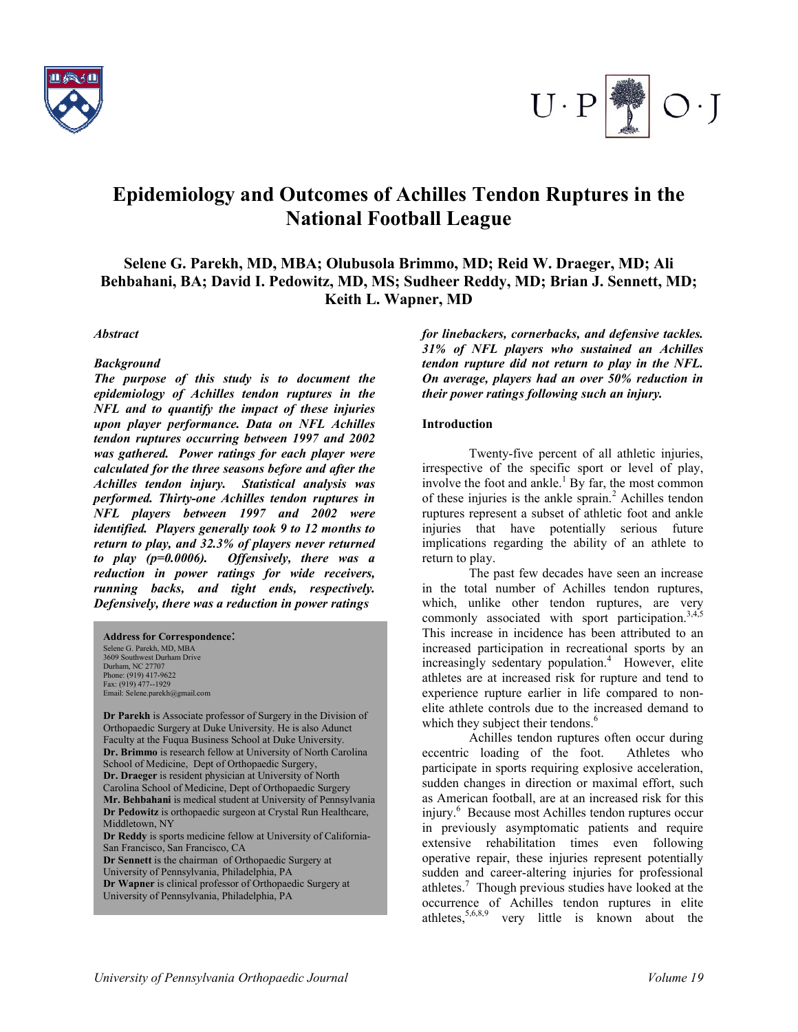



# **Epidemiology and Outcomes of Achilles Tendon Ruptures in the National Football League**

**Selene G. Parekh, MD, MBA; Olubusola Brimmo, MD; Reid W. Draeger, MD; Ali Behbahani, BA; David I. Pedowitz, MD, MS; Sudheer Reddy, MD; Brian J. Sennett, MD; Keith L. Wapner, MD**

#### *Abstract*

#### *Background*

*The purpose of this study is to document the epidemiology of Achilles tendon ruptures in the NFL and to quantify the impact of these injuries upon player performance. Data on NFL Achilles tendon ruptures occurring between 1997 and 2002 was gathered. Power ratings for each player were calculated for the three seasons before and after the Achilles tendon injury. Statistical analysis was performed. Thirty-one Achilles tendon ruptures in NFL players between 1997 and 2002 were identified. Players generally took 9 to 12 months to return to play, and 32.3% of players never returned to play (p=0.0006). Offensively, there was a reduction in power ratings for wide receivers, running backs, and tight ends, respectively. Defensively, there was a reduction in power ratings* 

#### **Address for Correspondence**:

Selene G. Parekh, MD, MBA 3609 Southwest Durham Drive Durham, NC 27707 Phone: (919) 417-9622 Fax: (919) 477--1929 Email: Selene.parekh@gmail.com

**Dr Parekh** is Associate professor of Surgery in the Division of Orthopaedic Surgery at Duke University. He is also Adunct Faculty at the Fuqua Business School at Duke University. **Dr. Brimmo** is research fellow at University of North Carolina School of Medicine, Dept of Orthopaedic Surgery, **Dr. Draeger** is resident physician at University of North Carolina School of Medicine, Dept of Orthopaedic Surgery **Mr. Behbahani** is medical student at University of Pennsylvania **Dr Pedowitz** is orthopaedic surgeon at Crystal Run Healthcare, Middletown, NY **Dr Reddy** is sports medicine fellow at University of California-San Francisco, San Francisco, CA **Dr Sennett** is the chairman of Orthopaedic Surgery at University of Pennsylvania, Philadelphia, PA **Dr Wapner** is clinical professor of Orthopaedic Surgery at

*for linebackers, cornerbacks, and defensive tackles. 31% of NFL players who sustained an Achilles tendon rupture did not return to play in the NFL. On average, players had an over 50% reduction in their power ratings following such an injury.* 

#### **Introduction**

Twenty-five percent of all athletic injuries, irrespective of the specific sport or level of play, involve the foot and ankle. $<sup>1</sup>$  By far, the most common</sup> of these injuries is the ankle sprain. $<sup>2</sup>$  Achilles tendon</sup> ruptures represent a subset of athletic foot and ankle injuries that have potentially serious future implications regarding the ability of an athlete to return to play.

The past few decades have seen an increase in the total number of Achilles tendon ruptures, which, unlike other tendon ruptures, are very commonly associated with sport participation.<sup>3,4,5</sup> This increase in incidence has been attributed to an increased participation in recreational sports by an increasingly sedentary population.<sup>4</sup> However, elite athletes are at increased risk for rupture and tend to experience rupture earlier in life compared to nonelite athlete controls due to the increased demand to which they subject their tendons.<sup>6</sup>

Achilles tendon ruptures often occur during eccentric loading of the foot. Athletes who participate in sports requiring explosive acceleration, sudden changes in direction or maximal effort, such as American football, are at an increased risk for this injury.<sup>6</sup> Because most Achilles tendon ruptures occur in previously asymptomatic patients and require extensive rehabilitation times even following operative repair, these injuries represent potentially sudden and career-altering injuries for professional athletes.<sup>7</sup> Though previous studies have looked at the occurrence of Achilles tendon ruptures in elite athletes,  $5,6,8,9$  very little is known about the

University of Pennsylvania, Philadelphia, PA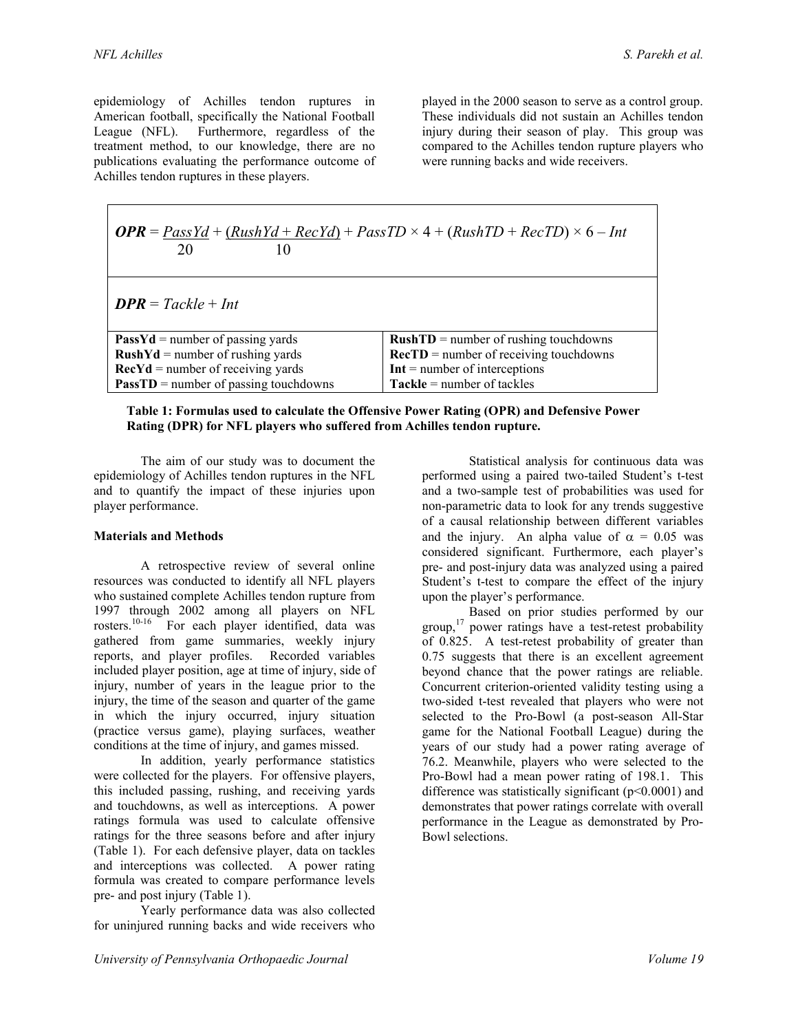Г

epidemiology of Achilles tendon ruptures in American football, specifically the National Football League (NFL). Furthermore, regardless of the treatment method, to our knowledge, there are no publications evaluating the performance outcome of Achilles tendon ruptures in these players.

played in the 2000 season to serve as a control group. These individuals did not sustain an Achilles tendon injury during their season of play. This group was compared to the Achilles tendon rupture players who were running backs and wide receivers.

| <b><i>OPR</i></b> = $PassYd + (RiskYd + RecYd) + PassTD \times 4 + (RushTD + RecTD) \times 6 - Int$<br>20<br>$\mathbf{I}(\mathbf{I})$ |                                                   |
|---------------------------------------------------------------------------------------------------------------------------------------|---------------------------------------------------|
| $DPR = Tackle + Int$                                                                                                                  |                                                   |
| <b>PassYd</b> = number of passing yards                                                                                               | $RushTD = number of pushing touchdowns$           |
| $RushYd = number of rushing yards$                                                                                                    | $\textbf{RecTD}$ = number of receiving touchdowns |
| $\text{Rec}Yd$ = number of receiving yards                                                                                            | $Int = number of interceptions$                   |
| <b>PassTD</b> = number of passing touchdowns                                                                                          | $Tackle = number of tackles$                      |

| Table 1: Formulas used to calculate the Offensive Power Rating (OPR) and Defensive Power |
|------------------------------------------------------------------------------------------|
| Rating (DPR) for NFL players who suffered from Achilles tendon rupture.                  |

The aim of our study was to document the epidemiology of Achilles tendon ruptures in the NFL and to quantify the impact of these injuries upon player performance.

#### **Materials and Methods**

A retrospective review of several online resources was conducted to identify all NFL players who sustained complete Achilles tendon rupture from 1997 through 2002 among all players on NFL rosters.10-16 For each player identified, data was gathered from game summaries, weekly injury reports, and player profiles. Recorded variables included player position, age at time of injury, side of injury, number of years in the league prior to the injury, the time of the season and quarter of the game in which the injury occurred, injury situation (practice versus game), playing surfaces, weather conditions at the time of injury, and games missed.

In addition, yearly performance statistics were collected for the players. For offensive players, this included passing, rushing, and receiving yards and touchdowns, as well as interceptions. A power ratings formula was used to calculate offensive ratings for the three seasons before and after injury (Table 1). For each defensive player, data on tackles and interceptions was collected. A power rating formula was created to compare performance levels pre- and post injury (Table 1).

Yearly performance data was also collected for uninjured running backs and wide receivers who

Statistical analysis for continuous data was performed using a paired two-tailed Student's t-test and a two-sample test of probabilities was used for non-parametric data to look for any trends suggestive of a causal relationship between different variables and the injury. An alpha value of  $\alpha = 0.05$  was considered significant. Furthermore, each player's pre- and post-injury data was analyzed using a paired Student's t-test to compare the effect of the injury upon the player's performance.

Based on prior studies performed by our group, $17$  power ratings have a test-retest probability of 0.825. A test-retest probability of greater than 0.75 suggests that there is an excellent agreement beyond chance that the power ratings are reliable. Concurrent criterion-oriented validity testing using a two-sided t-test revealed that players who were not selected to the Pro-Bowl (a post-season All-Star game for the National Football League) during the years of our study had a power rating average of 76.2. Meanwhile, players who were selected to the Pro-Bowl had a mean power rating of 198.1. This difference was statistically significant (p<0.0001) and demonstrates that power ratings correlate with overall performance in the League as demonstrated by Pro-Bowl selections.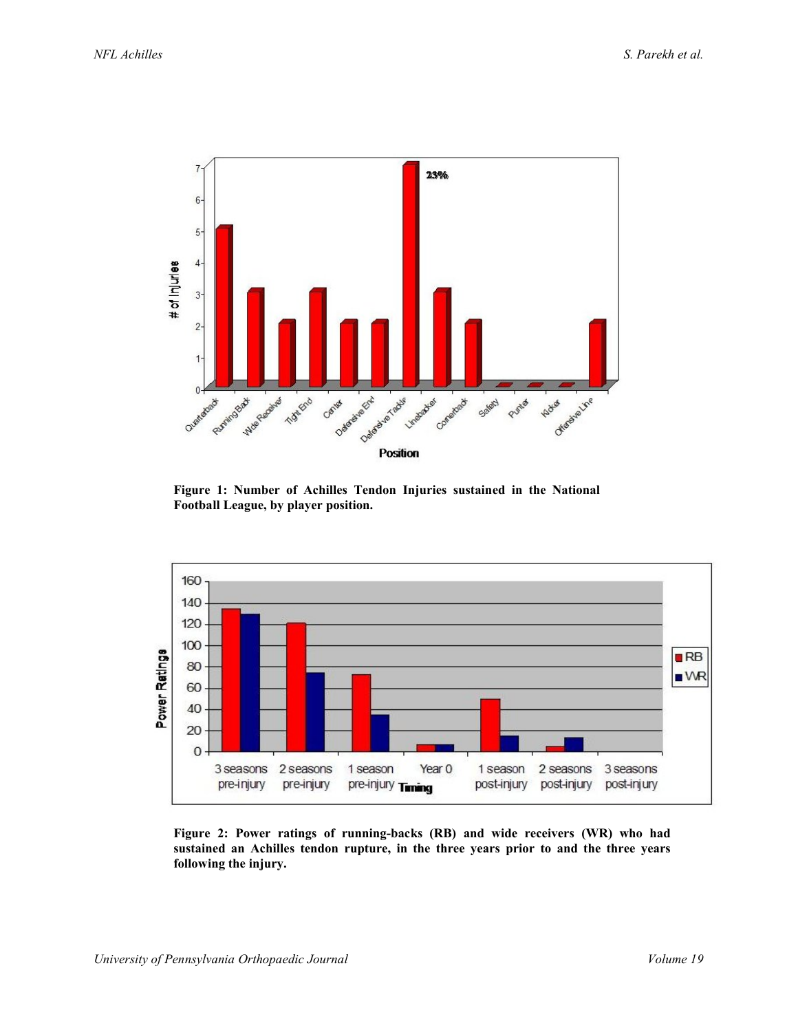

**Figure 1: Number of Achilles Tendon Injuries sustained in the National Football League, by player position.**

![](_page_2_Figure_4.jpeg)

**Figure 2: Power ratings of running-backs (RB) and wide receivers (WR) who had sustained an Achilles tendon rupture, in the three years prior to and the three years following the injury.**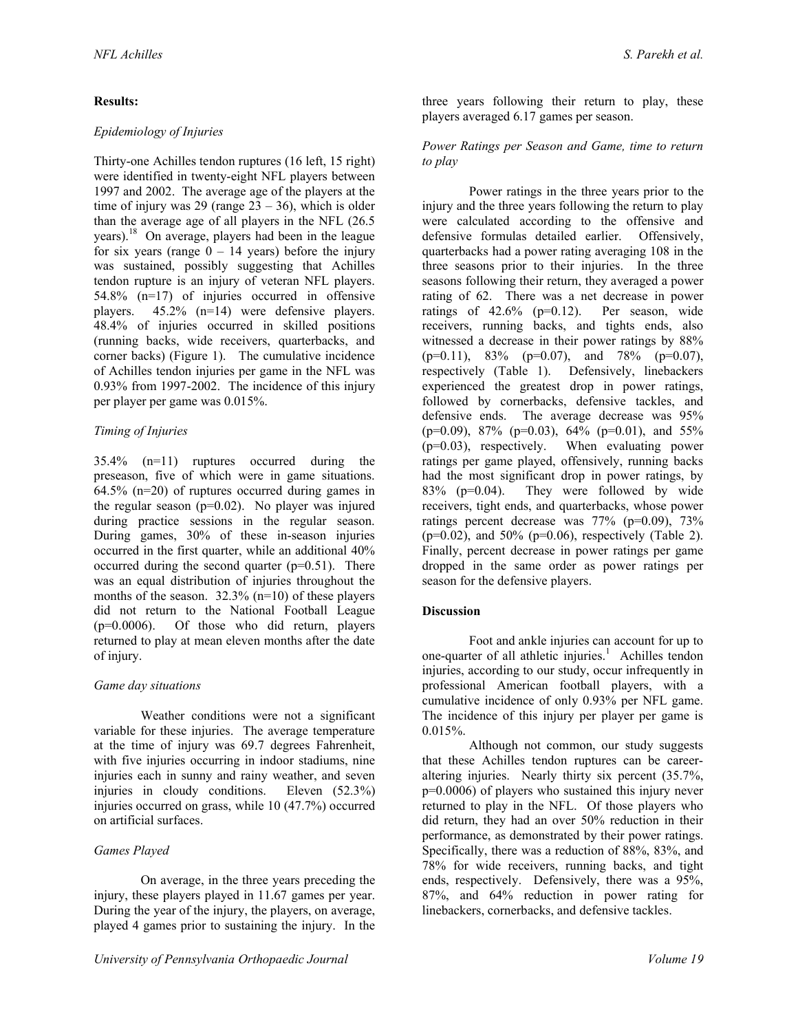# **Results:**

# *Epidemiology of Injuries*

Thirty-one Achilles tendon ruptures (16 left, 15 right) were identified in twenty-eight NFL players between 1997 and 2002. The average age of the players at the time of injury was 29 (range  $23 - 36$ ), which is older than the average age of all players in the NFL (26.5 years).18 On average, players had been in the league for six years (range  $0 - 14$  years) before the injury was sustained, possibly suggesting that Achilles tendon rupture is an injury of veteran NFL players. 54.8% (n=17) of injuries occurred in offensive players. 45.2% (n=14) were defensive players. 48.4% of injuries occurred in skilled positions (running backs, wide receivers, quarterbacks, and corner backs) (Figure 1). The cumulative incidence of Achilles tendon injuries per game in the NFL was 0.93% from 1997-2002. The incidence of this injury per player per game was 0.015%.

# *Timing of Injuries*

35.4% (n=11) ruptures occurred during the preseason, five of which were in game situations. 64.5% (n=20) of ruptures occurred during games in the regular season ( $p=0.02$ ). No player was injured during practice sessions in the regular season. During games, 30% of these in-season injuries occurred in the first quarter, while an additional 40% occurred during the second quarter  $(p=0.51)$ . There was an equal distribution of injuries throughout the months of the season. 32.3% (n=10) of these players did not return to the National Football League (p=0.0006). Of those who did return, players returned to play at mean eleven months after the date of injury.

## *Game day situations*

Weather conditions were not a significant variable for these injuries. The average temperature at the time of injury was 69.7 degrees Fahrenheit, with five injuries occurring in indoor stadiums, nine injuries each in sunny and rainy weather, and seven injuries in cloudy conditions. Eleven (52.3%) injuries occurred on grass, while 10 (47.7%) occurred on artificial surfaces.

## *Games Played*

On average, in the three years preceding the injury, these players played in 11.67 games per year. During the year of the injury, the players, on average, played 4 games prior to sustaining the injury. In the

three years following their return to play, these players averaged 6.17 games per season.

### *Power Ratings per Season and Game, time to return to play*

Power ratings in the three years prior to the injury and the three years following the return to play were calculated according to the offensive and defensive formulas detailed earlier. Offensively, quarterbacks had a power rating averaging 108 in the three seasons prior to their injuries. In the three seasons following their return, they averaged a power rating of 62. There was a net decrease in power ratings of 42.6% (p=0.12). Per season, wide receivers, running backs, and tights ends, also witnessed a decrease in their power ratings by 88%  $(p=0.11)$ , 83%  $(p=0.07)$ , and 78%  $(p=0.07)$ , respectively (Table 1). Defensively, linebackers experienced the greatest drop in power ratings, followed by cornerbacks, defensive tackles, and defensive ends. The average decrease was 95%  $(p=0.09)$ , 87% ( $p=0.03$ ), 64% ( $p=0.01$ ), and 55%  $(p=0.03)$ , respectively. When evaluating power ratings per game played, offensively, running backs had the most significant drop in power ratings, by 83% (p=0.04). They were followed by wide receivers, tight ends, and quarterbacks, whose power ratings percent decrease was  $77\%$  (p=0.09),  $73\%$  $(p=0.02)$ , and 50% ( $p=0.06$ ), respectively (Table 2). Finally, percent decrease in power ratings per game dropped in the same order as power ratings per season for the defensive players.

## **Discussion**

Foot and ankle injuries can account for up to one-quarter of all athletic injuries.<sup>1</sup> Achilles tendon injuries, according to our study, occur infrequently in professional American football players, with a cumulative incidence of only 0.93% per NFL game. The incidence of this injury per player per game is  $0.015%$ .

Although not common, our study suggests that these Achilles tendon ruptures can be careeraltering injuries. Nearly thirty six percent (35.7%, p=0.0006) of players who sustained this injury never returned to play in the NFL. Of those players who did return, they had an over 50% reduction in their performance, as demonstrated by their power ratings. Specifically, there was a reduction of 88%, 83%, and 78% for wide receivers, running backs, and tight ends, respectively. Defensively, there was a 95%, 87%, and 64% reduction in power rating for linebackers, cornerbacks, and defensive tackles.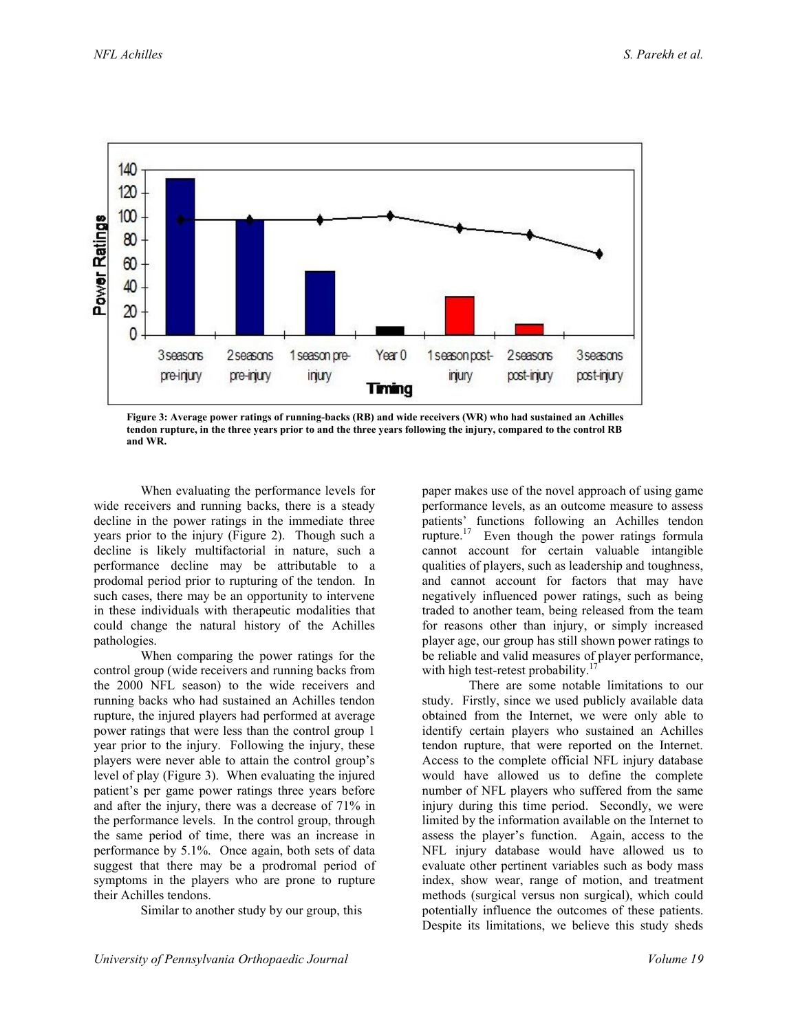![](_page_4_Figure_2.jpeg)

**Figure 3: Average power ratings of running-backs (RB) and wide receivers (WR) who had sustained an Achilles tendon rupture, in the three years prior to and the three years following the injury, compared to the control RB and WR.**

When evaluating the performance levels for wide receivers and running backs, there is a steady decline in the power ratings in the immediate three years prior to the injury (Figure 2). Though such a decline is likely multifactorial in nature, such a performance decline may be attributable to a prodomal period prior to rupturing of the tendon. In such cases, there may be an opportunity to intervene in these individuals with therapeutic modalities that could change the natural history of the Achilles pathologies.

When comparing the power ratings for the control group (wide receivers and running backs from the 2000 NFL season) to the wide receivers and running backs who had sustained an Achilles tendon rupture, the injured players had performed at average power ratings that were less than the control group 1 year prior to the injury. Following the injury, these players were never able to attain the control group's level of play (Figure 3). When evaluating the injured patient's per game power ratings three years before and after the injury, there was a decrease of 71% in the performance levels. In the control group, through the same period of time, there was an increase in performance by 5.1%. Once again, both sets of data suggest that there may be a prodromal period of symptoms in the players who are prone to rupture their Achilles tendons.

Similar to another study by our group, this

paper makes use of the novel approach of using game performance levels, as an outcome measure to assess patients' functions following an Achilles tendon rupture.<sup>17</sup> Even though the power ratings formula cannot account for certain valuable intangible qualities of players, such as leadership and toughness, and cannot account for factors that may have negatively influenced power ratings, such as being traded to another team, being released from the team for reasons other than injury, or simply increased player age, our group has still shown power ratings to be reliable and valid measures of player performance, with high test-retest probability.<sup>1</sup>

There are some notable limitations to our study. Firstly, since we used publicly available data obtained from the Internet, we were only able to identify certain players who sustained an Achilles tendon rupture, that were reported on the Internet. Access to the complete official NFL injury database would have allowed us to define the complete number of NFL players who suffered from the same injury during this time period. Secondly, we were limited by the information available on the Internet to assess the player's function. Again, access to the NFL injury database would have allowed us to evaluate other pertinent variables such as body mass index, show wear, range of motion, and treatment methods (surgical versus non surgical), which could potentially influence the outcomes of these patients. Despite its limitations, we believe this study sheds